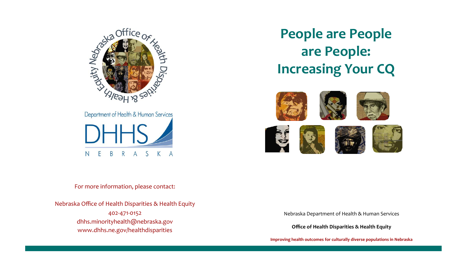

**People are People are People: Increasing Your CQ**



For more information, please contact:

Nebraska Office of Health Disparities & Health Equity 402-471-0152 dhhs.minorityhealth@nebraska.gov www.dhhs.ne.gov/healthdisparities

Nebraska Department of Health & Human Services

**Office of Health Disparities & Health Equity**

**Improving health outcomes for culturally diverse populations in Nebraska**